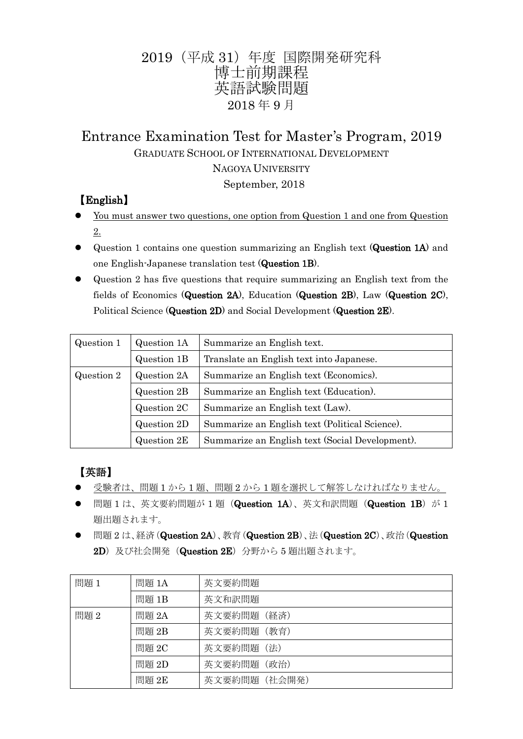# 2019(平成 31)年度 国際開発研究科 博士前期課程 英語試験問題 2018 年 9 月

# Entrance Examination Test for Master's Program, 2019 GRADUATE SCHOOL OF INTERNATIONAL DEVELOPMENT NAGOYA UNIVERSITY

September, 2018

# 【English】

- You must answer two questions, one option from Question 1 and one from Question 2.
- Question 1 contains one question summarizing an English text (Question 1A) and one English-Japanese translation test (Question 1B).
- Question 2 has five questions that require summarizing an English text from the fields of Economics (Question 2A), Education (Question 2B), Law (Question 2C), Political Science (Question 2D) and Social Development (Question 2E).

| Question 1 | Question 1A | Summarize an English text.                      |
|------------|-------------|-------------------------------------------------|
|            | Question 1B | Translate an English text into Japanese.        |
| Question 2 | Question 2A | Summarize an English text (Economics).          |
|            | Question 2B | Summarize an English text (Education).          |
|            | Question 2C | Summarize an English text (Law).                |
|            | Question 2D | Summarize an English text (Political Science).  |
|            | Question 2E | Summarize an English text (Social Development). |

# 【英語】

- 受験者は、問題 1 から 1 題、問題 2 から 1 題を選択して解答しなければなりません。
- 問題 1 は、英文要約問題が 1 題 (Question 1A)、英文和訳問題 (Question 1B) が 1 題出題されます。
- **●** 問題 2 は、経済(Question 2A)、教育(Question 2B)、法(Question 2C)、政治(Question 2D)及び社会開発 (Question 2E) 分野から5 題出題されます。

| 問題1  | 問題 1A | 英文要約問題        |
|------|-------|---------------|
|      | 問題 1B | 英文和訳問題        |
| 問題 2 | 問題 2A | 英文要約問題 (経済)   |
|      | 問題 2B | 英文要約問題 (教育)   |
|      | 問題 2C | 英文要約問題 (法)    |
|      | 問題 2D | 英文要約問題 (政治)   |
|      | 問題 2E | 英文要約問題 (社会開発) |